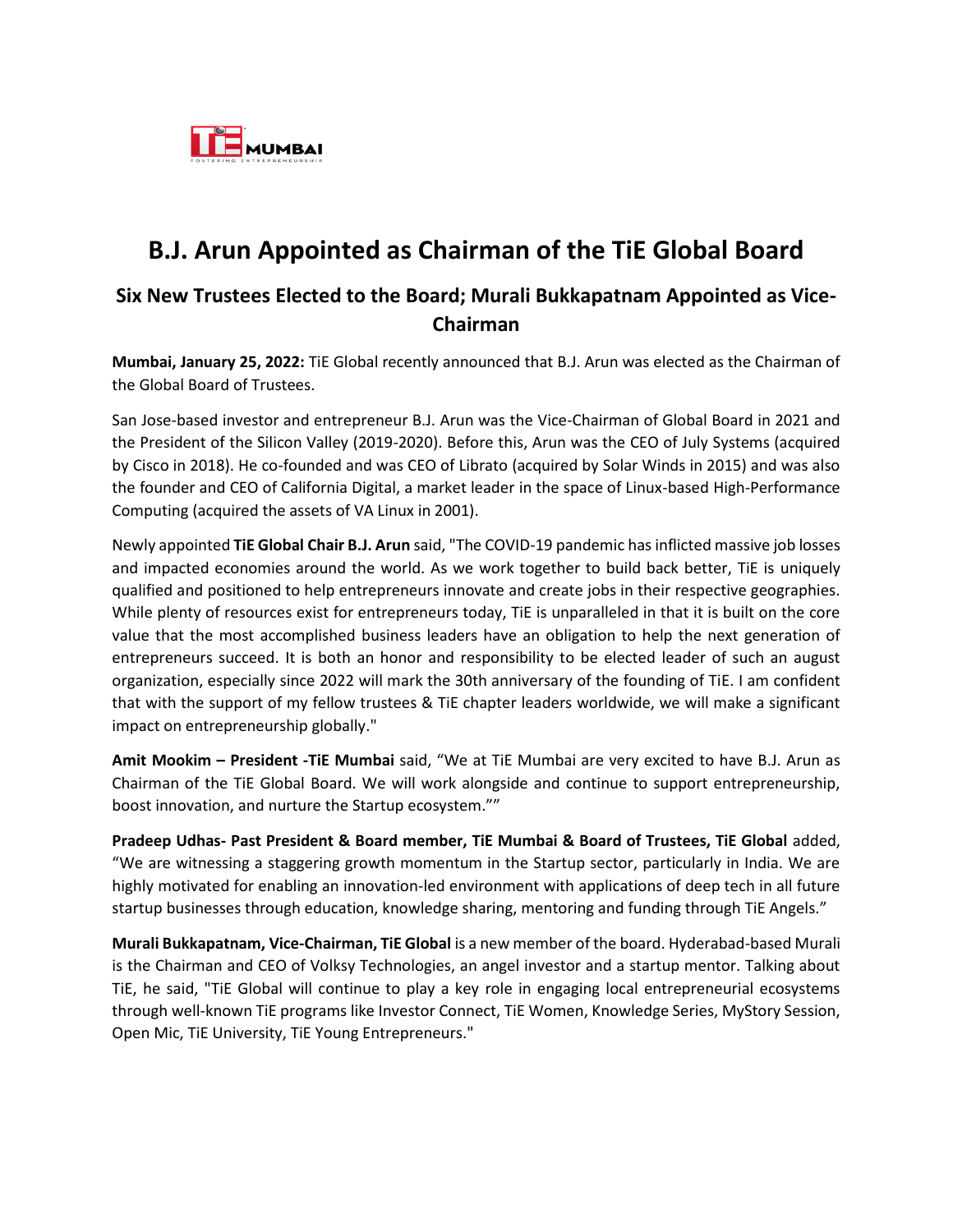

## **B.J. Arun Appointed as Chairman of the TiE Global Board**

## **Six New Trustees Elected to the Board; Murali Bukkapatnam Appointed as Vice-Chairman**

**Mumbai, January 25, 2022:** TiE Global recently announced that B.J. Arun was elected as the Chairman of the Global Board of Trustees.

San Jose-based investor and entrepreneur B.J. Arun was the Vice-Chairman of Global Board in 2021 and the President of the Silicon Valley (2019-2020). Before this, Arun was the CEO of July Systems (acquired by Cisco in 2018). He co-founded and was CEO of Librato (acquired by Solar Winds in 2015) and was also the founder and CEO of California Digital, a market leader in the space of Linux-based High-Performance Computing (acquired the assets of VA Linux in 2001).

Newly appointed **TiE Global Chair B.J. Arun** said, "The COVID-19 pandemic has inflicted massive job losses and impacted economies around the world. As we work together to build back better, TiE is uniquely qualified and positioned to help entrepreneurs innovate and create jobs in their respective geographies. While plenty of resources exist for entrepreneurs today, TiE is unparalleled in that it is built on the core value that the most accomplished business leaders have an obligation to help the next generation of entrepreneurs succeed. It is both an honor and responsibility to be elected leader of such an august organization, especially since 2022 will mark the 30th anniversary of the founding of TiE. I am confident that with the support of my fellow trustees & TiE chapter leaders worldwide, we will make a significant impact on entrepreneurship globally."

**Amit Mookim – President -TiE Mumbai** said, "We at TiE Mumbai are very excited to have B.J. Arun as Chairman of the TiE Global Board. We will work alongside and continue to support entrepreneurship, boost innovation, and nurture the Startup ecosystem.""

**Pradeep Udhas- Past President & Board member, TiE Mumbai & Board of Trustees, TiE Global** added, "We are witnessing a staggering growth momentum in the Startup sector, particularly in India. We are highly motivated for enabling an innovation-led environment with applications of deep tech in all future startup businesses through education, knowledge sharing, mentoring and funding through TiE Angels."

**Murali Bukkapatnam, Vice-Chairman, TiE Global** is a new member of the board. Hyderabad-based Murali is the Chairman and CEO of Volksy Technologies, an angel investor and a startup mentor. Talking about TiE, he said, "TiE Global will continue to play a key role in engaging local entrepreneurial ecosystems through well-known TiE programs like Investor Connect, TiE Women, Knowledge Series, MyStory Session, Open Mic, TiE University, TiE Young Entrepreneurs."